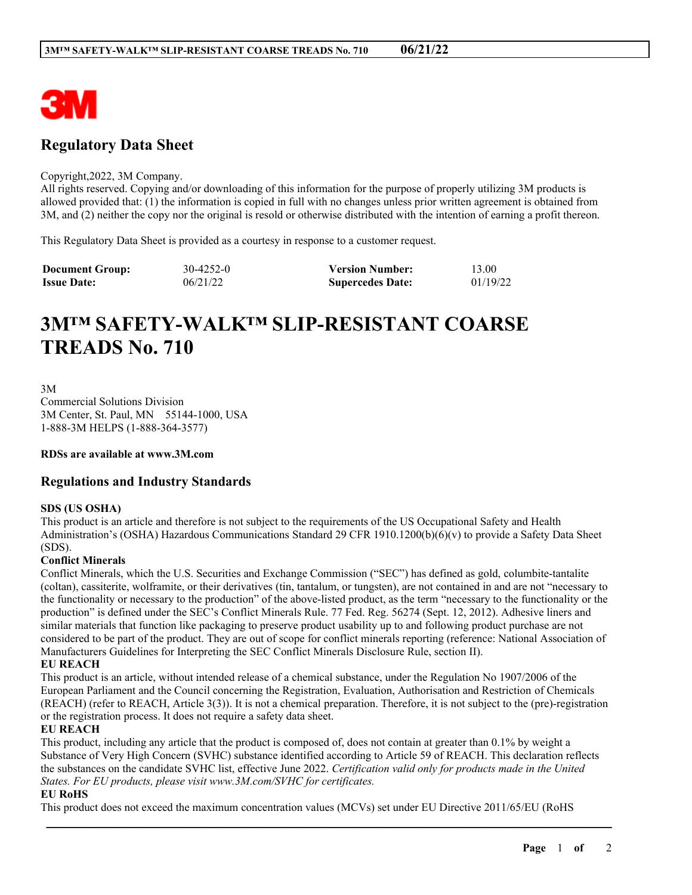

# **Regulatory Data Sheet**

#### Copyright,2022, 3M Company.

All rights reserved. Copying and/or downloading of this information for the purpose of properly utilizing 3M products is allowed provided that: (1) the information is copied in full with no changes unless prior written agreement is obtained from 3M, and (2) neither the copy nor the original is resold or otherwise distributed with the intention of earning a profit thereon.

This Regulatory Data Sheet is provided as a courtesy in response to a customer request.

| <b>Document Group:</b> | 30-4252-0 | <b>Version Number:</b>  | 13.00    |
|------------------------|-----------|-------------------------|----------|
| <b>Issue Date:</b>     | 06/21/22  | <b>Supercedes Date:</b> | 01/19/22 |

# **3M™ SAFETY-WALK™ SLIP-RESISTANT COARSE TREADS No. 710**

3M

Commercial Solutions Division 3M Center, St. Paul, MN 55144-1000, USA 1-888-3M HELPS (1-888-364-3577)

**RDSs are available at www.3M.com**

# **Regulations and Industry Standards**

## **SDS (US OSHA)**

This product is an article and therefore is not subject to the requirements of the US Occupational Safety and Health Administration's (OSHA) Hazardous Communications Standard 29 CFR 1910.1200(b)(6)(v) to provide a Safety Data Sheet (SDS).

#### **Conflict Minerals**

Conflict Minerals, which the U.S. Securities and Exchange Commission ("SEC") has defined as gold, columbite-tantalite (coltan), cassiterite, wolframite, or their derivatives (tin, tantalum, or tungsten), are not contained in and are not "necessary to the functionality or necessary to the production" of the above-listed product, as the term "necessary to the functionality or the production" is defined under the SEC's Conflict Minerals Rule. 77 Fed. Reg. 56274 (Sept. 12, 2012). Adhesive liners and similar materials that function like packaging to preserve product usability up to and following product purchase are not considered to be part of the product. They are out of scope for conflict minerals reporting (reference: National Association of Manufacturers Guidelines for Interpreting the SEC Conflict Minerals Disclosure Rule, section II).

## **EU REACH**

This product is an article, without intended release of a chemical substance, under the Regulation No 1907/2006 of the European Parliament and the Council concerning the Registration, Evaluation, Authorisation and Restriction of Chemicals (REACH) (refer to REACH, Article 3(3)). It is not a chemical preparation. Therefore, it is not subject to the (pre)-registration or the registration process. It does not require a safety data sheet.

#### **EU REACH**

This product, including any article that the product is composed of, does not contain at greater than 0.1% by weight a Substance of Very High Concern (SVHC) substance identified according to Article 59 of REACH. This declaration reflects the substances on the candidate SVHC list, effective June 2022. *Certification valid only for products made in the United States. For EU products, please visit www.3M.com/SVHC for certificates.*

\_\_\_\_\_\_\_\_\_\_\_\_\_\_\_\_\_\_\_\_\_\_\_\_\_\_\_\_\_\_\_\_\_\_\_\_\_\_\_\_\_\_\_\_\_\_\_\_\_\_\_\_\_\_\_\_\_\_\_\_\_\_\_\_\_\_\_\_\_\_\_\_\_\_\_\_\_\_\_\_\_\_\_\_\_\_\_\_\_\_

## **EU RoHS**

This product does not exceed the maximum concentration values (MCVs) set under EU Directive 2011/65/EU (RoHS